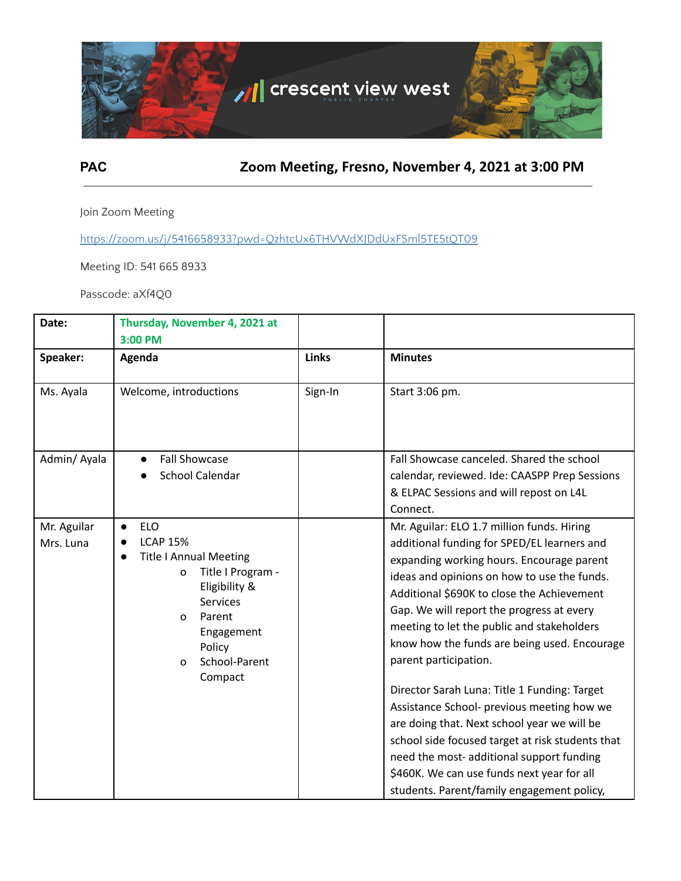

**PAC Zoom Meeting, Fresno, November 4, 2021 at 3:00 PM**

Join Zoom Meeting

https://zoom.us/j/5416658933?pwd=QzhtcUx6THVWdXJDdUxFSml5TE5tQT09

Meeting ID: 541 665 8933

Passcode: aXf4Q0

| Date:                    | Thursday, November 4, 2021 at<br>3:00 PM                                                                                                                                                                                                     |              |                                                                                                                                                                                                                                                                                                                                                                                                                                                                                                                                                                                                                                                                                                                                                   |
|--------------------------|----------------------------------------------------------------------------------------------------------------------------------------------------------------------------------------------------------------------------------------------|--------------|---------------------------------------------------------------------------------------------------------------------------------------------------------------------------------------------------------------------------------------------------------------------------------------------------------------------------------------------------------------------------------------------------------------------------------------------------------------------------------------------------------------------------------------------------------------------------------------------------------------------------------------------------------------------------------------------------------------------------------------------------|
| Speaker:                 | Agenda                                                                                                                                                                                                                                       | <b>Links</b> | <b>Minutes</b>                                                                                                                                                                                                                                                                                                                                                                                                                                                                                                                                                                                                                                                                                                                                    |
| Ms. Ayala                | Welcome, introductions                                                                                                                                                                                                                       | Sign-In      | Start 3:06 pm.                                                                                                                                                                                                                                                                                                                                                                                                                                                                                                                                                                                                                                                                                                                                    |
| Admin/Ayala              | <b>Fall Showcase</b><br>$\bullet$<br>School Calendar                                                                                                                                                                                         |              | Fall Showcase canceled. Shared the school<br>calendar, reviewed. Ide: CAASPP Prep Sessions<br>& ELPAC Sessions and will repost on L4L<br>Connect.                                                                                                                                                                                                                                                                                                                                                                                                                                                                                                                                                                                                 |
| Mr. Aguilar<br>Mrs. Luna | <b>ELO</b><br>$\bullet$<br><b>LCAP 15%</b><br><b>Title I Annual Meeting</b><br>$\bullet$<br>Title I Program -<br>0<br>Eligibility &<br><b>Services</b><br>Parent<br>$\Omega$<br>Engagement<br>Policy<br>School-Parent<br>$\Omega$<br>Compact |              | Mr. Aguilar: ELO 1.7 million funds. Hiring<br>additional funding for SPED/EL learners and<br>expanding working hours. Encourage parent<br>ideas and opinions on how to use the funds.<br>Additional \$690K to close the Achievement<br>Gap. We will report the progress at every<br>meeting to let the public and stakeholders<br>know how the funds are being used. Encourage<br>parent participation.<br>Director Sarah Luna: Title 1 Funding: Target<br>Assistance School- previous meeting how we<br>are doing that. Next school year we will be<br>school side focused target at risk students that<br>need the most- additional support funding<br>\$460K. We can use funds next year for all<br>students. Parent/family engagement policy, |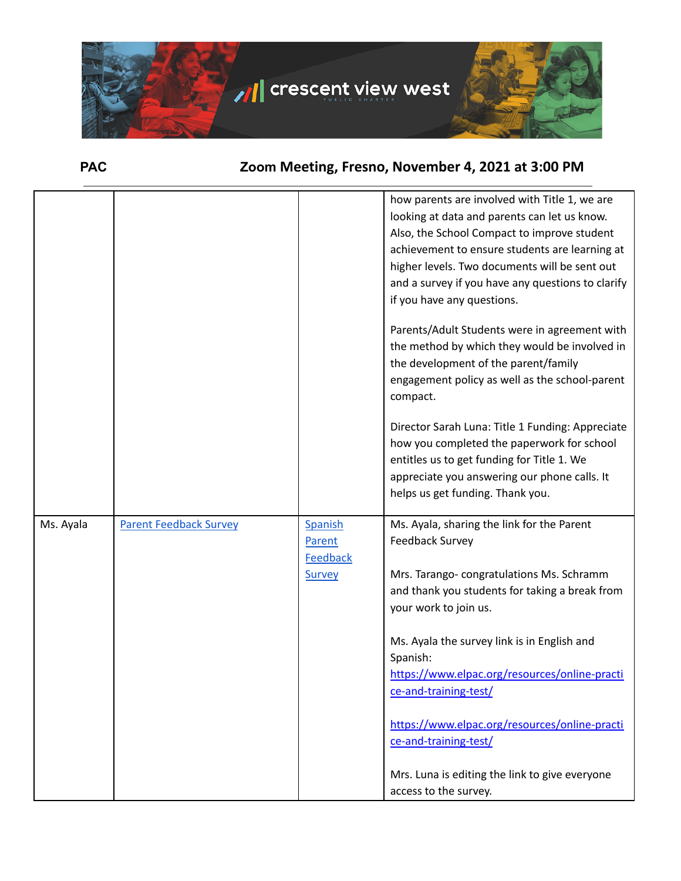

**PAC Zoom Meeting, Fresno, November 4, 2021 at 3:00 PM**

|           |                               |                                      | how parents are involved with Title 1, we are<br>looking at data and parents can let us know.<br>Also, the School Compact to improve student<br>achievement to ensure students are learning at<br>higher levels. Two documents will be sent out<br>and a survey if you have any questions to clarify<br>if you have any questions.<br>Parents/Adult Students were in agreement with<br>the method by which they would be involved in<br>the development of the parent/family<br>engagement policy as well as the school-parent<br>compact.<br>Director Sarah Luna: Title 1 Funding: Appreciate<br>how you completed the paperwork for school<br>entitles us to get funding for Title 1. We<br>appreciate you answering our phone calls. It<br>helps us get funding. Thank you. |
|-----------|-------------------------------|--------------------------------------|--------------------------------------------------------------------------------------------------------------------------------------------------------------------------------------------------------------------------------------------------------------------------------------------------------------------------------------------------------------------------------------------------------------------------------------------------------------------------------------------------------------------------------------------------------------------------------------------------------------------------------------------------------------------------------------------------------------------------------------------------------------------------------|
| Ms. Ayala | <b>Parent Feedback Survey</b> | Spanish<br>Parent<br><b>Feedback</b> | Ms. Ayala, sharing the link for the Parent<br><b>Feedback Survey</b>                                                                                                                                                                                                                                                                                                                                                                                                                                                                                                                                                                                                                                                                                                           |
|           |                               | <b>Survey</b>                        | Mrs. Tarango-congratulations Ms. Schramm<br>and thank you students for taking a break from<br>your work to join us.                                                                                                                                                                                                                                                                                                                                                                                                                                                                                                                                                                                                                                                            |
|           |                               |                                      | Ms. Ayala the survey link is in English and<br>Spanish:<br>https://www.elpac.org/resources/online-practi<br>ce-and-training-test/                                                                                                                                                                                                                                                                                                                                                                                                                                                                                                                                                                                                                                              |
|           |                               |                                      | https://www.elpac.org/resources/online-practi<br>ce-and-training-test/                                                                                                                                                                                                                                                                                                                                                                                                                                                                                                                                                                                                                                                                                                         |
|           |                               |                                      | Mrs. Luna is editing the link to give everyone<br>access to the survey.                                                                                                                                                                                                                                                                                                                                                                                                                                                                                                                                                                                                                                                                                                        |